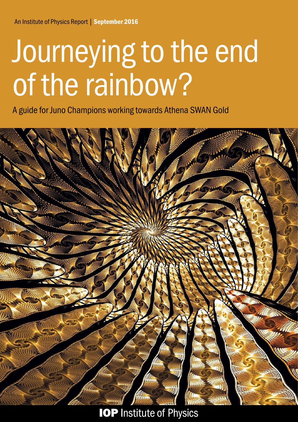# Journeying to the end of the rainbow?

A guide for Juno Champions working towards Athena SWAN Gold



**IOP Institute of Physics**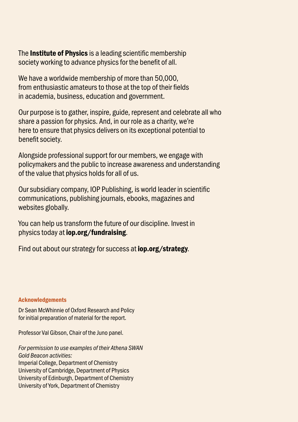The **Institute of Physics** is a leading scientific membership society working to advance physics for the benefit of all.

We have a worldwide membership of more than 50,000, from enthusiastic amateurs to those at the top of their fields in academia, business, education and government.

Our purpose is to gather, inspire, guide, represent and celebrate all who share a passion for physics. And, in our role as a charity, we're here to ensure that physics delivers on its exceptional potential to benefit society.

Alongside professional support for our members, we engage with policymakers and the public to increase awareness and understanding of the value that physics holds for all of us.

Our subsidiary company, IOP Publishing, is world leader in scientific communications, publishing journals, ebooks, magazines and websites globally.

You can help us transform the future of our discipline. Invest in physics today at iop.org/fundraising.

Find out about our strategy for success at **iop.org/strategy**.

### Acknowledgements

Dr Sean McWhinnie of Oxford Research and Policy for initial preparation of material for the report.

Professor Val Gibson, Chair of the Juno panel.

*For permission to use examples of their Athena SWAN Gold Beacon activities:* Imperial College, Department of Chemistry University of Cambridge, Department of Physics University of Edinburgh, Department of Chemistry University of York, Department of Chemistry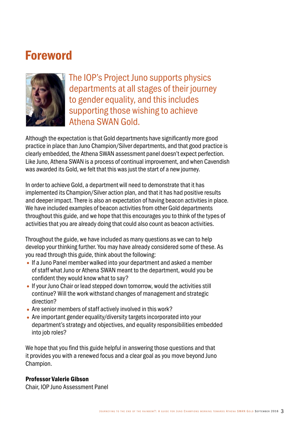# Foreword



The IOP's Project Juno supports physics departments at all stages of their journey to gender equality, and this includes supporting those wishing to achieve Athena SWAN Gold.

Although the expectation is that Gold departments have significantly more good practice in place than Juno Champion/Silver departments, and that good practice is clearly embedded, the Athena SWAN assessment panel doesn't expect perfection. Like Juno, Athena SWAN is a process of continual improvement, and when Cavendish was awarded its Gold, we felt that this was just the start of a new journey.

In order to achieve Gold, a department will need to demonstrate that it has implemented its Champion/Silver action plan, and that it has had positive results and deeper impact. There is also an expectation of having beacon activities in place. We have included examples of beacon activities from other Gold departments throughout this guide, and we hope that this encourages you to think of the types of activities that you are already doing that could also count as beacon activities.

Throughout the guide, we have included as many questions as we can to help develop your thinking further. You may have already considered some of these. As you read through this guide, think about the following:

- If a Juno Panel member walked into your department and asked a member of staff what Juno or Athena SWAN meant to the department, would you be confident they would know what to say?
- If your Juno Chair or lead stepped down tomorrow, would the activities still continue? Will the work withstand changes of management and strategic direction?
- Are senior members of staff actively involved in this work?
- Are important gender equality/diversity targets incorporated into your department's strategy and objectives, and equality responsibilities embedded into job roles?

We hope that you find this guide helpful in answering those questions and that it provides you with a renewed focus and a clear goal as you move beyond Juno Champion.

### Professor Valerie Gibson

Chair, IOP Juno Assessment Panel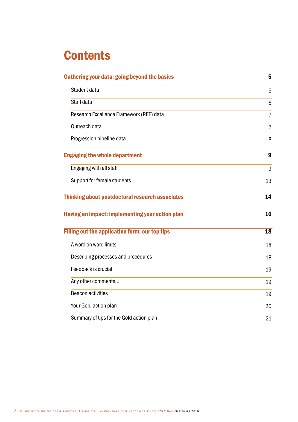# **Contents**

| Gathering your data: going beyond the basics           | $\overline{\mathbf{5}}$ |
|--------------------------------------------------------|-------------------------|
| Student data                                           | 5                       |
| Staff data                                             | $6\phantom{1}$          |
| Research Excellence Framework (REF) data               | $\overline{7}$          |
| Outreach data                                          | $\overline{7}$          |
| Progression pipeline data                              | 8                       |
| <b>Engaging the whole department</b>                   | $\overline{9}$          |
| Engaging with all staff                                | 9                       |
| Support for female students                            | 13                      |
| Thinking about postdoctoral research associates        | $\overline{14}$         |
| <b>Having an impact: implementing your action plan</b> | 16                      |
| Filling out the application form: our top tips         | 18                      |
| A word on word limits                                  | 18                      |
| Describing processes and procedures                    | 18                      |
| Feedback is crucial                                    | 19                      |
| Any other comments                                     | 19                      |
| <b>Beacon activities</b>                               | 19                      |
| Your Gold action plan                                  | 20                      |
|                                                        |                         |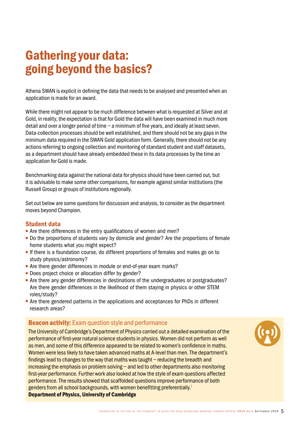# Gathering your data: going beyond the basics?

Athena SWAN is explicit in defining the data that needs to be analysed and presented when an application is made for an award.

While there might not appear to be much difference between what is requested at Silver and at Gold, in reality, the expectation is that for Gold the data will have been examined in much more detail and over a longer period of time – a minimum of five years, and ideally at least seven. Data-collection processes should be well established, and there should not be any gaps in the minimum data required in the SWAN Gold application form. Generally, there should not be any actions referring to ongoing collection and monitoring of standard student and staff datasets, as a department should have already embedded these in its data processes by the time an application for Gold is made.

Benchmarking data against the national data for physics should have been carried out, but it is advisable to make some other comparisons, for example against similar institutions (the Russell Group) or groups of institutions regionally.

Set out below are some questions for discussion and analysis, to consider as the department moves beyond Champion.

### Student data

- Are there differences in the entry qualifications of women and men?
- Do the proportions of students vary by domicile and gender? Are the proportions of female home students what you might expect?
- If there is a foundation course, do different proportions of females and males go on to study physics/astronomy?
- Are there gender differences in module or end-of-year exam marks?
- Does project choice or allocation differ by gender?
- Are there any gender differences in destinations of the undergraduates or postgraduates? Are there gender differences in the likelihood of them staying in physics or other STEM roles/study?
- Are there gendered patterns in the applications and acceptances for PhDs in different research areas?

### **Beacon activity:** Exam question style and performance

The University of Cambridge's Department of Physics carried out a detailed examination of the performance of first-year natural science students in physics. Women did not perform as well as men, and some of this difference appeared to be related to women's confidence in maths. Women were less likely to have taken advanced maths at A-level than men. The department's findings lead to changes to the way that maths was taught – reducing the breadth and increasing the emphasis on problem solving – and led to other departments also monitoring first-year performance. Further work also looked at how the style of exam questions affected performance. The results showed that scaffolded questions improve performance of both genders from all school backgrounds, with women benefitting preferentially.<sup>1</sup> Department of Physics, University of Cambridge

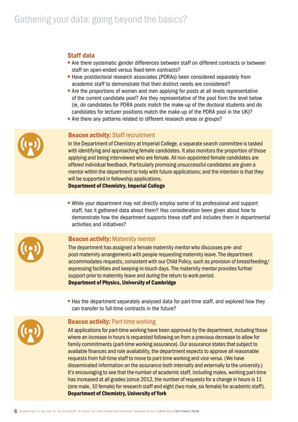### Staff data

- Are there systematic gender differences between staff on different contracts or between staff on open-ended versus fixed-term contracts?
- Have postdoctoral research associates (PDRAs) been considered separately from academic staff to demonstrate that their distinct needs are considered?
- Are the proportions of women and men applying for posts at all levels representative of the current candidate pool? Are they representative of the pool from the level below (ie, do candidates for PDRA posts match the make-up of the doctoral students and do candidates for lecturer positions match the make-up of the PDRA pool in the UK)?
- Are there any patterns related to different research areas or groups?



### **Beacon activity: Staff recruitment**

In the Department of Chemistry at Imperial College, a separate search committee is tasked with identifying and approaching female candidates. It also monitors the proportion of those applying and being interviewed who are female. All non-appointed female candidates are offered individual feedback. Particularly promising unsuccessful candidates are given a mentor within the department to help with future applications; and the intention is that they will be supported in fellowship applications.

Department of Chemistry, Imperial College

● While your department may not directly employ some of its professional and support staff, has it gathered data about them? Has consideration been given about how to demonstrate how the department supports these staff and includes them in departmental activities and initiatives?

### **Beacon activity: Maternity mentor**

The department has assigned a female maternity mentor who discusses pre- and post-maternity arrangements with people requesting maternity leave. The department accommodates requests, consistent with our Child Policy, such as provision of breastfeeding/ expressing facilities and keeping-in-touch days. The maternity mentor provides further support prior to maternity leave and during the return to work period. Department of Physics, University of Cambridge

• Has the department separately analysed data for part-time staff, and explored how they can transfer to full-time contracts in the future?



### **Beacon activity: Part-time working**

All applications for part-time working have been approved by the department, including those where an increase in hours is requested following on from a previous decrease to allow for family commitments (part-time working assurance). Our assurance states that subject to available finances and role availability, the department expects to approve all reasonable requests from full-time staff to move to part-time working and vice versa. (We have disseminated information on the assurance both internally and externally to the university.) It's encouraging to see that the number of academic staff, including males, working part-time has increased at all grades (since 2012, the number of requests for a change in hours is 11 (one male, 10 female) for research staff and eight (two male, six female) for academic staff). Department of Chemistry, University of York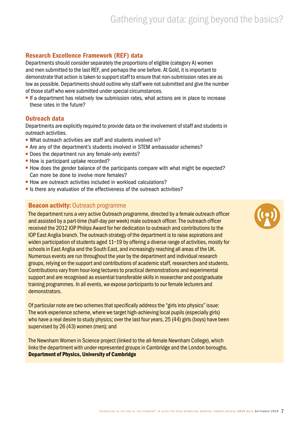### Research Excellence Framework (REF) data

Departments should consider separately the proportions of eligible (category A) women and men submitted to the last REF, and perhaps the one before. At Gold, it is important to demonstrate that action is taken to support staff to ensure that non-submission rates are as low as possible. Departments should outline why staff were not submitted and give the number of those staff who were submitted under special circumstances.

● If a department has relatively low submission rates, what actions are in place to increase these rates in the future?

### Outreach data

Departments are explicitly required to provide data on the involvement of staff and students in outreach activities.

- What outreach activities are staff and students involved in?
- Are any of the department's students involved in STEM ambassador schemes?
- Does the department run any female-only events?
- How is participant uptake recorded?
- How does the gender balance of the participants compare with what might be expected? Can more be done to involve more females?
- How are outreach activities included in workload calculations?
- Is there any evaluation of the effectiveness of the outreach activities?

### **Beacon activity: Outreach programme**

The department runs a very active Outreach programme, directed by a female outreach officer and assisted by a part-time (half-day per week) male outreach officer. The outreach officer received the 2012 IOP Philips Award for her dedication to outreach and contributions to the IOP East Anglia branch. The outreach strategy of the department is to raise aspirations and widen participation of students aged 11–19 by offering a diverse range of activities, mostly for schools in East Anglia and the South East, and increasingly reaching all areas of the UK. Numerous events are run throughout the year by the department and individual research groups, relying on the support and contributions of academic staff, researchers and students. Contributions vary from hour-long lectures to practical demonstrations and experimental support and are recognised as essential transferable skills in researcher and postgraduate training programmes. In all events, we expose participants to our female lecturers and demonstrators.

Of particular note are two schemes that specifically address the "girls into physics" issue: The work experience scheme, where we target high-achieving local pupils (especially girls) who have a real desire to study physics; over the last four years, 25 (44) girls (boys) have been supervised by 26 (43) women (men); and

The Newnham Women in Science project (linked to the all-female Newnham College), which links the department with under-represented groups in Cambridge and the London boroughs. Department of Physics, University of Cambridge

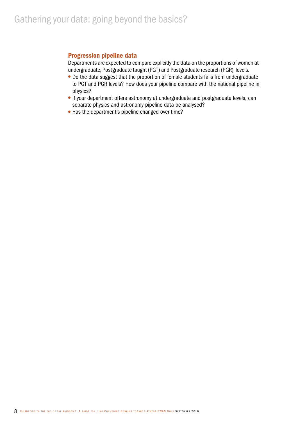### Progression pipeline data

Departments are expected to compare explicitly the data on the proportions of women at undergraduate, Postgraduate taught (PGT) and Postgraduate research (PGR) levels.

- Do the data suggest that the proportion of female students falls from undergraduate to PGT and PGR levels? How does your pipeline compare with the national pipeline in physics?
- If your department offers astronomy at undergraduate and postgraduate levels, can separate physics and astronomy pipeline data be analysed?
- Has the department's pipeline changed over time?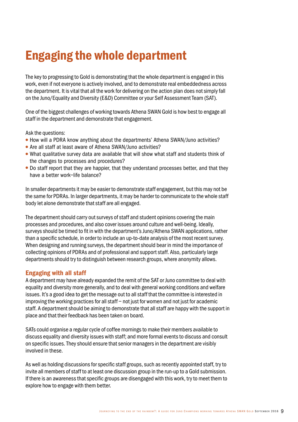# Engaging the whole department

The key to progressing to Gold is demonstrating that the whole department is engaged in this work, even if not everyone is actively involved, and to demonstrate real embeddedness across the department. It is vital that all the work for delivering on the action plan does not simply fall on the Juno/Equality and Diversity (E&D) Committee or your Self Assessment Team (SAT).

One of the biggest challenges of working towards Athena SWAN Gold is how best to engage all staff in the department and demonstrate that engagement.

Ask the questions:

- How will a PDRA know anything about the departments' Athena SWAN/Juno activities?
- Are all staff at least aware of Athena SWAN/Juno activities?
- What qualitative survey data are available that will show what staff and students think of the changes to processes and procedures?
- Do staff report that they are happier, that they understand processes better, and that they have a better work–life balance?

In smaller departments it may be easier to demonstrate staff engagement, but this may not be the same for PDRAs. In larger departments, it may be harder to communicate to the whole staff body let alone demonstrate that staff are all engaged.

The department should carry out surveys of staff and student opinions covering the main processes and procedures, and also cover issues around culture and well-being. Ideally, surveys should be timed to fit in with the department's Juno/Athena SWAN applications, rather than a specific schedule, in order to include an up-to-date analysis of the most recent survey. When designing and running surveys, the department should bear in mind the importance of collecting opinions of PDRAs and of professional and support staff. Also, particularly large departments should try to distinguish between research groups, where anonymity allows.

### Engaging with all staff

A department may have already expanded the remit of the SAT or Juno committee to deal with equality and diversity more generally, and to deal with general working conditions and welfare issues. It's a good idea to get the message out to all staff that the committee is interested in improving the working practices for all staff – not just for women and not just for academic staff. A department should be aiming to demonstrate that all staff are happy with the support in place and that their feedback has been taken on board.

SATs could organise a regular cycle of coffee mornings to make their members available to discuss equality and diversity issues with staff; and more formal events to discuss and consult on specific issues. They should ensure that senior managers in the department are visibly involved in these.

As well as holding discussions for specific staff groups, such as recently appointed staff, try to invite all members of staff to at least one discussion group in the run-up to a Gold submission. If there is an awareness that specific groups are disengaged with this work, try to meet them to explore how to engage with them better.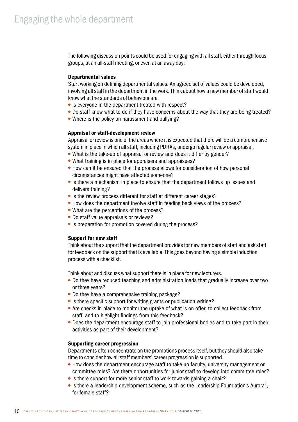The following discussion points could be used for engaging with all staff, either through focus groups, at an all-staff meeting, or even at an away day:

### Departmental values

Start working on defining departmental values. An agreed set of values could be developed, involving all staff in the department in the work. Think about how a new member of staff would know what the standards of behaviour are.

- Is everyone in the department treated with respect?
- Do staff know what to do if they have concerns about the way that they are being treated?
- Where is the policy on harassment and bullying?

### Appraisal or staff-development review

Appraisal or review is one of the areas where it is expected that there will be a comprehensive system in place in which all staff, including PDRAs, undergo regular review or appraisal.

- What is the take-up of appraisal or review and does it differ by gender?
- What training is in place for appraisers and appraisees?
- How can it be ensured that the process allows for consideration of how personal circumstances might have affected someone?
- Is there a mechanism in place to ensure that the department follows up issues and delivers training?
- Is the review process different for staff at different career stages?
- How does the department involve staff in feeding back views of the process?
- What are the perceptions of the process?
- Do staff value appraisals or reviews?
- Is preparation for promotion covered during the process?

#### Support for new staff

Think about the support that the department provides for new members of staff and ask staff for feedback on the support that is available. This goes beyond having a simple induction process with a checklist.

Think about and discuss what support there is in place for new lecturers.

- Do they have reduced teaching and administration loads that gradually increase over two or three years?
- Do they have a comprehensive training package?
- Is there specific support for writing grants or publication writing?
- Are checks in place to monitor the uptake of what is on offer, to collect feedback from staff, and to highlight findings from this feedback?
- Does the department encourage staff to join professional bodies and to take part in their activities as part of their development?

#### Supporting career progression

Departments often concentrate on the promotions process itself, but they should also take time to consider how all staff members' career progression is supported.

- How does the department encourage staff to take up faculty, university management or committee roles? Are there opportunities for junior staff to develop into committee roles?
- Is there support for more senior staff to work towards gaining a chair?
- $\bullet$  Is there a leadership development scheme, such as the Leadership Foundation's Aurora<sup>2</sup>, for female staff?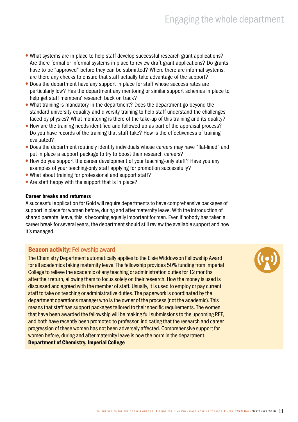### Engaging the whole department

- What systems are in place to help staff develop successful research grant applications? Are there formal or informal systems in place to review draft grant applications? Do grants have to be "approved" before they can be submitted? Where there are informal systems, are there any checks to ensure that staff actually take advantage of the support?
- Does the department have any support in place for staff whose success rates are particularly low? Has the department any mentoring or similar support schemes in place to help get staff members' research back on track?
- What training is mandatory in the department? Does the department go beyond the standard university equality and diversity training to help staff understand the challenges faced by physics? What monitoring is there of the take-up of this training and its quality?
- How are the training needs identified and followed up as part of the appraisal process? Do you have records of the training that staff take? How is the effectiveness of training evaluated?
- Does the department routinely identify individuals whose careers may have "flat-lined" and put in place a support package to try to boost their research careers?
- How do you support the career development of your teaching-only staff? Have you any examples of your teaching-only staff applying for promotion successfully?
- What about training for professional and support staff?
- Are staff happy with the support that is in place?

### Career breaks and returners

A successful application for Gold will require departments to have comprehensive packages of support in place for women before, during and after maternity leave. With the introduction of shared parental leave, this is becoming equally important for men. Even if nobody has taken a career break for several years, the department should still review the available support and how it's managed.

### **Beacon activity: Fellowship award**

The Chemistry Department automatically applies to the Elsie Widdowson Fellowship Award for all academics taking maternity leave. The fellowship provides 50% funding from Imperial College to relieve the academic of any teaching or administration duties for 12 months after their return, allowing them to focus solely on their research. How the money is used is discussed and agreed with the member of staff. Usually, it is used to employ or pay current staff to take on teaching or administrative duties. The paperwork is coordinated by the department operations manager who is the owner of the process (not the academic). This means that staff has support packages tailored to their specific requirements. The women that have been awarded the fellowship will be making full submissions to the upcoming REF, and both have recently been promoted to professor, indicating that the research and career progression of these women has not been adversely affected. Comprehensive support for women before, during and after maternity leave is now the norm in the department. Department of Chemistry, Imperial College

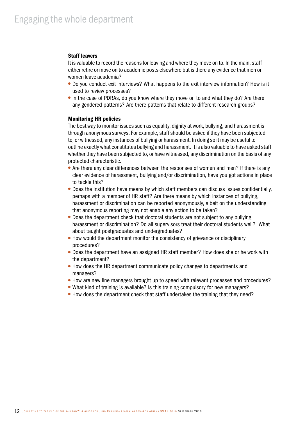### Staff leavers

It is valuable to record the reasons for leaving and where they move on to. In the main, staff either retire or move on to academic posts elsewhere but is there any evidence that men or women leave academia?

- Do you conduct exit interviews? What happens to the exit interview information? How is it used to review processes?
- In the case of PDRAs, do you know where they move on to and what they do? Are there any gendered patterns? Are there patterns that relate to different research groups?

#### Monitoring HR policies

The best way to monitor issues such as equality, dignity at work, bullying, and harassment is through anonymous surveys. For example, staff should be asked if they have been subjected to, or witnessed, any instances of bullying or harassment. In doing so it may be useful to outline exactly what constitutes bullying and harassment. It is also valuable to have asked staff whether they have been subjected to, or have witnessed, any discrimination on the basis of any protected characteristic.

- Are there any clear differences between the responses of women and men? If there is any clear evidence of harassment, bullying and/or discrimination, have you got actions in place to tackle this?
- Does the institution have means by which staff members can discuss issues confidentially, perhaps with a member of HR staff? Are there means by which instances of bullying, harassment or discrimination can be reported anonymously, albeit on the understanding that anonymous reporting may not enable any action to be taken?
- Does the department check that doctoral students are not subject to any bullying, harassment or discrimination? Do all supervisors treat their doctoral students well? What about taught postgraduates and undergraduates?
- How would the department monitor the consistency of grievance or disciplinary procedures?
- Does the department have an assigned HR staff member? How does she or he work with the department?
- How does the HR department communicate policy changes to departments and managers?
- How are new line managers brought up to speed with relevant processes and procedures?
- What kind of training is available? Is this training compulsory for new managers?
- How does the department check that staff undertakes the training that they need?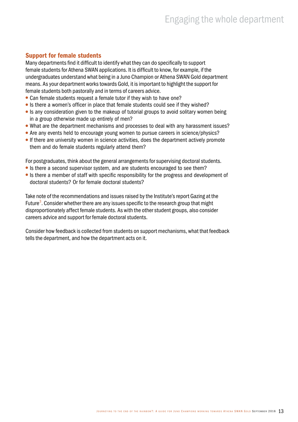### Engaging the whole department

### Support for female students

Many departments find it difficult to identify what they can do specifically to support female students for Athena SWAN applications. It is difficult to know, for example, if the undergraduates understand what being in a Juno Champion or Athena SWAN Gold department means. As your department works towards Gold, it is important to highlight the support for female students both pastorally and in terms of careers advice.

- Can female students request a female tutor if they wish to have one?
- Is there a women's officer in place that female students could see if they wished?
- Is any consideration given to the makeup of tutorial groups to avoid solitary women being in a group otherwise made up entirely of men?
- What are the department mechanisms and processes to deal with any harassment issues?
- Are any events held to encourage young women to pursue careers in science/physics?
- If there are university women in science activities, does the department actively promote them and do female students regularly attend them?

For postgraduates, think about the general arrangements for supervising doctoral students.

- Is there a second supervisor system, and are students encouraged to see them?
- Is there a member of staff with specific responsibility for the progress and development of doctoral students? Or for female doctoral students?

Take note of the recommendations and issues raised by the Institute's report Gazing at the Future<sup>3</sup>. Consider whether there are any issues specific to the research group that might disproportionately affect female students. As with the other student groups, also consider careers advice and support for female doctoral students.

Consider how feedback is collected from students on support mechanisms, what that feedback tells the department, and how the department acts on it.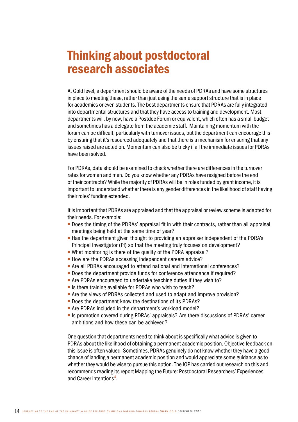# Thinking about postdoctoral research associates

At Gold level, a department should be aware of the needs of PDRAs and have some structures in place to meeting these, rather than just using the same support structure that is in place for academics or even students. The best departments ensure that PDRAs are fully integrated into departmental structures and that they have access to training and development. Most departments will, by now, have a Postdoc Forum or equivalent, which often has a small budget and sometimes has a delegate from the academic staff. Maintaining momentum with the forum can be difficult, particularly with turnover issues, but the department can encourage this by ensuring that it's resourced adequately and that there is a mechanism for ensuring that any issues raised are acted on. Momentum can also be tricky if all the immediate issues for PDRAs have been solved.

For PDRAs, data should be examined to check whether there are differences in the turnover rates for women and men. Do you know whether any PDRAs have resigned before the end of their contracts? While the majority of PDRAs will be in roles funded by grant income, it is important to understand whether there is any gender differences in the likelihood of staff having their roles' funding extended.

It is important that PDRAs are appraised and that the appraisal or review scheme is adapted for their needs. For example:

- Does the timing of the PDRAs' appraisal fit in with their contracts, rather than all appraisal meetings being held at the same time of year?
- Has the department given thought to providing an appraiser independent of the PDRA's Principal Investigator (PI) so that the meeting truly focuses on development?
- What monitoring is there of the quality of the PDRA appraisal?
- How are the PDRAs accessing independent careers advice?
- Are all PDRAs encouraged to attend national and international conferences?
- Does the department provide funds for conference attendance if required?
- Are PDRAs encouraged to undertake teaching duties if they wish to?
- Is there training available for PDRAs who wish to teach?
- Are the views of PDRAs collected and used to adapt and improve provision?
- Does the department know the destinations of its PDRAs?
- Are PDRAs included in the department's workload model?
- Is promotion covered during PDRAs' appraisals? Are there discussions of PDRAs' career ambitions and how these can be achieved?

One question that departments need to think about is specifically what advice is given to PDRAs about the likelihood of obtaining a permanent academic position. Objective feedback on this issue is often valued. Sometimes, PDRAs genuinely do not know whether they have a good chance of landing a permanent academic position and would appreciate some guidance as to whether they would be wise to pursue this option. The IOP has carried out research on this and recommends reading its report Mapping the Future: Postdoctoral Researchers' Experiences and Career Intentions<sup>4</sup>.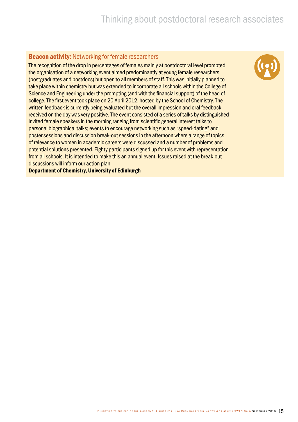### **Beacon activity:** Networking for female researchers

The recognition of the drop in percentages of females mainly at postdoctoral level prompted the organisation of a networking event aimed predominantly at young female researchers (postgraduates and postdocs) but open to all members of staff. This was initially planned to take place within chemistry but was extended to incorporate all schools within the College of Science and Engineering under the prompting (and with the financial support) of the head of college. The first event took place on 20 April 2012, hosted by the School of Chemistry. The written feedback is currently being evaluated but the overall impression and oral feedback received on the day was very positive. The event consisted of a series of talks by distinguished invited female speakers in the morning ranging from scientific general interest talks to personal biographical talks; events to encourage networking such as "speed-dating" and poster sessions and discussion break-out sessions in the afternoon where a range of topics of relevance to women in academic careers were discussed and a number of problems and potential solutions presented. Eighty participants signed up for this event with representation from all schools. It is intended to make this an annual event. Issues raised at the break-out discussions will inform our action plan.

Department of Chemistry, University of Edinburgh

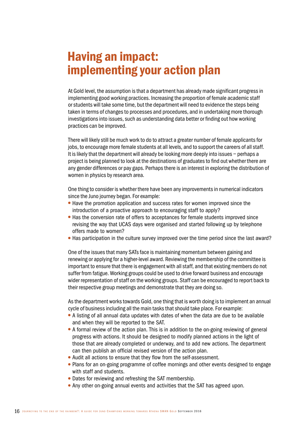# Having an impact: implementing your action plan

At Gold level, the assumption is that a department has already made significant progress in implementing good working practices. Increasing the proportion of female academic staff or students will take some time, but the department will need to evidence the steps being taken in terms of changes to processes and procedures, and in undertaking more thorough investigations into issues, such as understanding data better or finding out how working practices can be improved.

There will likely still be much work to do to attract a greater number of female applicants for jobs, to encourage more female students at all levels, and to support the careers of all staff. It is likely that the department will already be looking more deeply into issues – perhaps a project is being planned to look at the destinations of graduates to find out whether there are any gender differences or pay gaps. Perhaps there is an interest in exploring the distribution of women in physics by research area.

One thing to consider is whether there have been any improvements in numerical indicators since the Juno journey began. For example:

- Have the promotion application and success rates for women improved since the introduction of a proactive approach to encouraging staff to apply?
- Has the conversion rate of offers to acceptances for female students improved since revising the way that UCAS days were organised and started following up by telephone offers made to women?
- Has participation in the culture survey improved over the time period since the last award?

One of the issues that many SATs face is maintaining momentum between gaining and renewing or applying for a higher-level award. Reviewing the membership of the committee is important to ensure that there is engagement with all staff, and that existing members do not suffer from fatigue. Working groups could be used to drive forward business and encourage wider representation of staff on the working groups. Staff can be encouraged to report back to their respective group meetings and demonstrate that they are doing so.

As the department works towards Gold, one thing that is worth doing is to implement an annual cycle of business including all the main tasks that should take place. For example:

- A listing of all annual data updates with dates of when the data are due to be available and when they will be reported to the SAT.
- A formal review of the action plan. This is in addition to the on-going reviewing of general progress with actions. It should be designed to modify planned actions in the light of those that are already completed or underway, and to add new actions. The department can then publish an official revised version of the action plan.
- Audit all actions to ensure that they flow from the self-assessment.
- Plans for an on-going programme of coffee mornings and other events designed to engage with staff and students.
- Dates for reviewing and refreshing the SAT membership.
- Any other on-going annual events and activities that the SAT has agreed upon.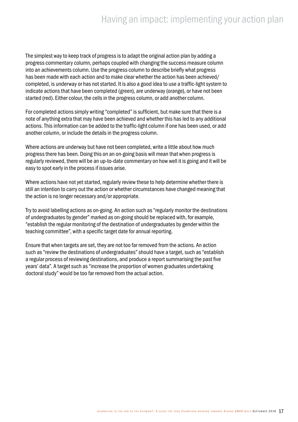### Having an impact: implementing your action plan

The simplest way to keep track of progress is to adapt the original action plan by adding a progress commentary column, perhaps coupled with changing the success measure column into an achievements column. Use the progress column to describe briefly what progress has been made with each action and to make clear whether the action has been achieved/ completed, is underway or has not started. It is also a good idea to use a traffic-light system to indicate actions that have been completed (green), are underway (orange), or have not been started (red). Either colour, the cells in the progress column, or add another column.

For completed actions simply writing "completed" is sufficient, but make sure that there is a note of anything extra that may have been achieved and whether this has led to any additional actions. This information can be added to the traffic-light column if one has been used, or add another column, or include the details in the progress column.

Where actions are underway but have not been completed, write a little about how much progress there has been. Doing this on an on-going basis will mean that when progress is regularly reviewed, there will be an up-to-date commentary on how well it is going and it will be easy to spot early in the process if issues arise.

Where actions have not yet started, regularly review these to help determine whether there is still an intention to carry out the action or whether circumstances have changed meaning that the action is no longer necessary and/or appropriate.

Try to avoid labelling actions as on-going. An action such as "regularly monitor the destinations of undergraduates by gender" marked as on-going should be replaced with, for example, "establish the regular monitoring of the destination of undergraduates by gender within the teaching committee", with a specific target date for annual reporting.

Ensure that when targets are set, they are not too far removed from the actions. An action such as "review the destinations of undergraduates" should have a target, such as "establish a regular process of reviewing destinations, and produce a report summarising the past five years' data". A target such as "increase the proportion of women graduates undertaking doctoral study" would be too far removed from the actual action.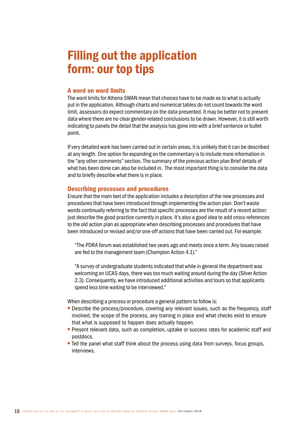# Filling out the application form: our top tips

### A word on word limits

The word limits for Athena SWAN mean that choices have to be made as to what is actually put in the application. Although charts and numerical tables do not count towards the word limit, assessors do expect commentary on the data presented. It may be better not to present data where there are no clear gender-related conclusions to be drawn. However, it is still worth indicating to panels the detail that the analysis has gone into with a brief sentence or bullet point.

If very detailed work has been carried out in certain areas, it is unlikely that it can be described at any length. One option for expanding on the commentary is to include more information in the "any other comments" section. The summary of the previous action plan Brief details of what has been done can also be included in. The most important thing is to consider the data and to briefly describe what there is in place.

### Describing processes and procedures

Ensure that the main text of the application includes a description of the new processes and procedures that have been introduced through implementing the action plan. Don't waste words continually referring to the fact that specific processes are the result of a recent action: just describe the good practice currently in place. It's also a good idea to add cross-references to the old action plan as appropriate when describing processes and procedures that have been introduced or revised and/or one-off actions that have been carried out. For example:

"The PDRA forum was established two years ago and meets once a term. Any issues raised are fed to the management team (Champion Action 4.1)."

"A survey of undergraduate students indicated that while in general the department was welcoming on UCAS days, there was too much waiting around during the day (Silver Action 2.3). Consequently, we have introduced additional activities and tours so that applicants spend less time waiting to be interviewed."

When describing a process or procedure a general pattern to follow is:

- Describe the process/procedure, covering any relevant issues, such as the frequency, staff involved, the scope of the process, any training in place and what checks exist to ensure that what is supposed to happen does actually happen.
- Present relevant data, such as completion, uptake or success rates for academic staff and postdocs.
- Tell the panel what staff think about the process using data from surveys, focus groups, interviews.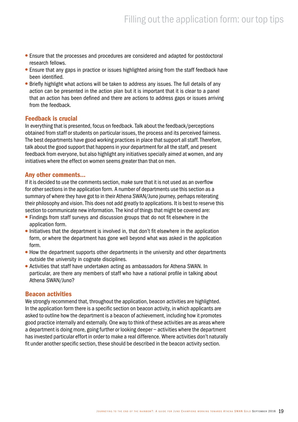- Ensure that the processes and procedures are considered and adapted for postdoctoral research fellows.
- Ensure that any gaps in practice or issues highlighted arising from the staff feedback have been identified.
- Briefly highlight what actions will be taken to address any issues. The full details of any action can be presented in the action plan but it is important that it is clear to a panel that an action has been defined and there are actions to address gaps or issues arriving from the feedback.

### Feedback is crucial

In everything that is presented, focus on feedback. Talk about the feedback/perceptions obtained from staff or students on particular issues, the process and its perceived fairness. The best departments have good working practices in place that support all staff. Therefore, talk about the good support that happens in your department for all the staff, and present feedback from everyone, but also highlight any initiatives specially aimed at women, and any initiatives where the effect on women seems greater than that on men.

### Any other comments…

If it is decided to use the comments section, make sure that it is not used as an overflow for other sections in the application form. A number of departments use this section as a summary of where they have got to in their Athena SWAN/Juno journey, perhaps reiterating their philosophy and vision. This does not add greatly to applications. It is best to reserve this section to communicate new information. The kind of things that might be covered are:

- Findings from staff surveys and discussion groups that do not fit elsewhere in the application form.
- Initiatives that the department is involved in, that don't fit elsewhere in the application form, or where the department has gone well beyond what was asked in the application form.
- How the department supports other departments in the university and other departments outside the university in cognate disciplines.
- Activities that staff have undertaken acting as ambassadors for Athena SWAN. In particular, are there any members of staff who have a national profile in talking about Athena SWAN/Juno?

### Beacon activities

We strongly recommend that, throughout the application, beacon activities are highlighted. In the application form there is a specific section on beacon activity, in which applicants are asked to outline how the department is a beacon of achievement, including how it promotes good practice internally and externally. One way to think of these activities are as areas where a department is doing more, going further or looking deeper – activities where the department has invested particular effort in order to make a real difference. Where activities don't naturally fit under another specific section, these should be described in the beacon activity section.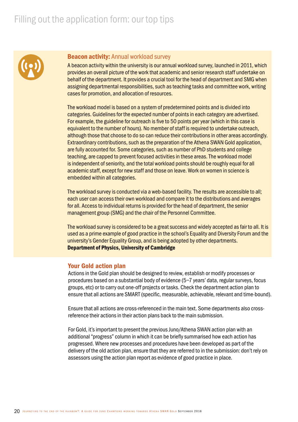### Filling out the application form: our top tips



### **Beacon activity: Annual workload survey**

A beacon activity within the university is our annual workload survey, launched in 2011, which provides an overall picture of the work that academic and senior research staff undertake on behalf of the department. It provides a crucial tool for the head of department and SMG when assigning departmental responsibilities, such as teaching tasks and committee work, writing cases for promotion, and allocation of resources.

The workload model is based on a system of predetermined points and is divided into categories. Guidelines for the expected number of points in each category are advertised. For example, the guideline for outreach is five to 50 points per year (which in this case is equivalent to the number of hours). No member of staff is required to undertake outreach, although those that choose to do so can reduce their contributions in other areas accordingly. Extraordinary contributions, such as the preparation of the Athena SWAN Gold application, are fully accounted for. Some categories, such as number of PhD students and college teaching, are capped to prevent focused activities in these areas. The workload model is independent of seniority, and the total workload points should be roughly equal for all academic staff, except for new staff and those on leave. Work on women in science is embedded within all categories.

The workload survey is conducted via a web-based facility. The results are accessible to all; each user can access their own workload and compare it to the distributions and averages for all. Access to individual returns is provided for the head of department, the senior management group (SMG) and the chair of the Personnel Committee.

The workload survey is considered to be a great success and widely accepted as fair to all. It is used as a prime example of good practice in the school's Equality and Diversity Forum and the university's Gender Equality Group, and is being adopted by other departments. Department of Physics, University of Cambridge

### Your Gold action plan

Actions in the Gold plan should be designed to review, establish or modify processes or procedures based on a substantial body of evidence (5–7 years' data, regular surveys, focus groups, etc) or to carry out one-off projects or tasks. Check the department action plan to ensure that all actions are SMART (specific, measurable, achievable, relevant and time-bound).

Ensure that all actions are cross-referenced in the main text. Some departments also crossreference their actions in their action plans back to the main submission.

For Gold, it's important to present the previous Juno/Athena SWAN action plan with an additional "progress" column in which it can be briefly summarised how each action has progressed. Where new processes and procedures have been developed as part of the delivery of the old action plan, ensure that they are referred to in the submission: don't rely on assessors using the action plan report as evidence of good practice in place.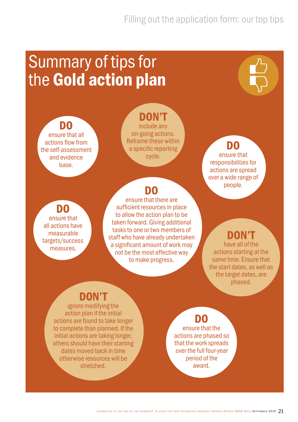# Summary of tips for the Gold action plan



DO ensure that all actions flow from the self-assessment and evidence base.

### DON'T include any on-going actions. Reframe these within a specific reporting cycle.

# DO

ensure that there are sufficient resources in place to allow the action plan to be taken forward. Giving additional tasks to one or two members of staff who have already undertaken a significant amount of work may not be the most effective way to make progress.

### DO ensure that responsibilities for actions are spread over a wide range of people.

### DO

ensure that all actions have measurable targets/success measures.

### DON'T

have all of the actions starting at the same time. Ensure that the start dates, as well as the target dates, are phased.

### DON'T

ignore modifying the action plan if the initial actions are found to take longer to complete than planned. If the initial actions are taking longer, others should have their starting dates moved back in time otherwise resources will be stretched.

DO ensure that the actions are phased so that the work spreads over the full four-year period of the award.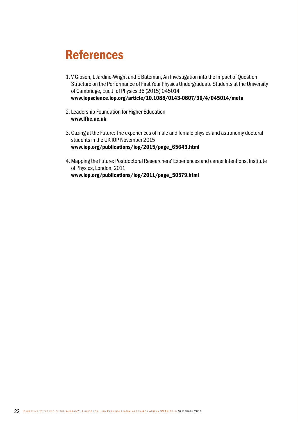# References

- 1. V Gibson, L Jardine-Wright and E Bateman, An Investigation into the Impact of Question Structure on the Performance of First Year Physics Undergraduate Students at the University of Cambridge, Eur. J. of Physics 36 (2015) 045014 www.iopscience.iop.org/article/10.1088/0143-0807/36/4/045014/meta
- 2. Leadership Foundation for Higher Education www.lfhe.ac.uk
- 3. Gazing at the Future: The experiences of male and female physics and astronomy doctoral students in the UK IOP November 2015 www.iop.org/publications/iop/2015/page\_65643.html
- 4. Mapping the Future: Postdoctoral Researchers' Experiences and career Intentions, Institute of Physics, London, 2011 www.iop.org/publications/iop/2011/page\_50579.html